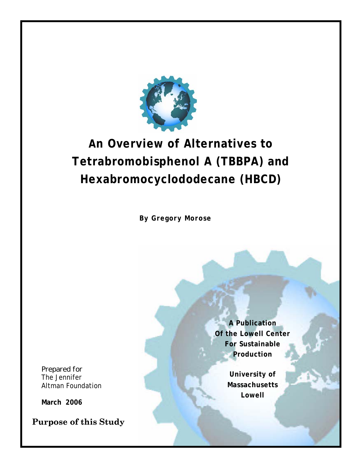

# **An Overview of Alternatives to Tetrabromobisphenol A (TBBPA) and Hexabromocyclododecane (HBCD)**

**By Gregory Morose** 

*Prepared for*  The Jennifer Altman Foundation

**March 2006** 

**Purpose of this Study** 

**A Publication Of the Lowell Center For Sustainable Production** 

> **University of Massachusetts Lowell**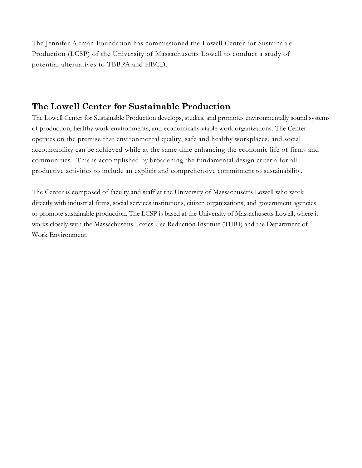The Jennifer Altman Foundation has commissioned the Lowell Center for Sustainable Production (LCSP) of the University of Massachusetts Lowell to conduct a study of potential alternatives to TBBPA and HBCD.

#### **The Lowell Center for Sustainable Production**

The Lowell Center for Sustainable Production develops, studies, and promotes environmentally sound systems of production, healthy work environments, and economically viable work organizations. The Center operates on the premise that environmental quality, safe and healthy workplaces, and social accountability can be achieved while at the same time enhancing the economic life of firms and communities. This is accomplished by broadening the fundamental design criteria for all productive activities to include an explicit and comprehensive commitment to sustainability.

The Center is composed of faculty and staff at the University of Massachusetts Lowell who work directly with industrial firms, social services institutions, citizen organizations, and government agencies to promote sustainable production. The LCSP is based at the University of Massachusetts Lowell, where it works closely with the Massachusetts Toxics Use Reduction Institute (TURI) and the Department of Work Environment.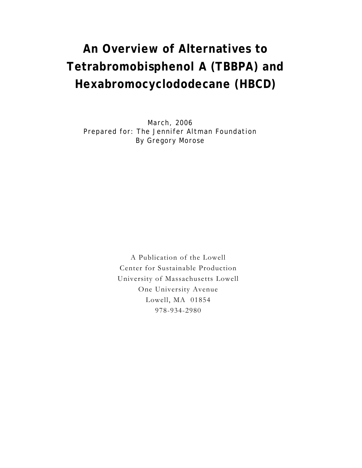# **An Overview of Alternatives to Tetrabromobisphenol A (TBBPA) and Hexabromocyclododecane (HBCD)**

March, 2006 Prepared for: The Jennifer Altman Foundation By Gregory Morose

> A Publication of the Lowell Center for Sustainable Production University of Massachusetts Lowell One University Avenue Lowell, MA 01854 978-934-2980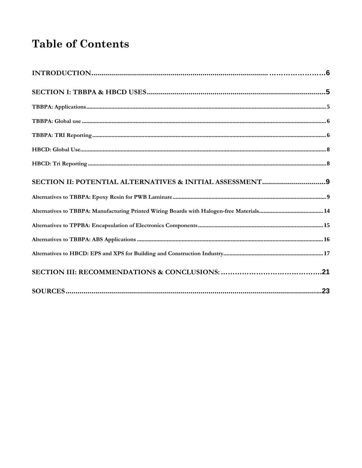## **Table of Contents**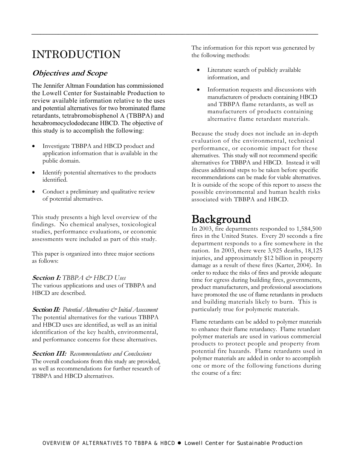### INTRODUCTION

#### **Objectives and Scope**

The Jennifer Altman Foundation has commissioned the Lowell Center for Sustainable Production to review available information relative to the uses and potential alternatives for two brominated flame retardants, tetrabromobisphenol A (TBBPA) and hexabromocyclododecane HBCD. The objective of this study is to accomplish the following:

- Investigate TBBPA and HBCD product and application information that is available in the public domain.
- Identify potential alternatives to the products identified.
- Conduct a preliminary and qualitative review of potential alternatives.

This study presents a high level overview of the findings. No chemical analyses, toxicological studies, performance evaluations, or economic assessments were included as part of this study.

This paper is organized into three major sections as follows:

#### **Section I:** *TBBPA & HBCD Uses*

The various applications and uses of TBBPA and HBCD are described.

**Section II:** *Potential Alternatives & Initial Assessment*  The potential alternatives for the various TBBPA and HBCD uses are identified, as well as an initial identification of the key health, environmental, and performance concerns for these alternatives.

**Section III:** *Recommendations and Conclusions*  The overall conclusions from this study are provided, as well as recommendations for further research of TBBPA and HBCD alternatives.

The information for this report was generated by the following methods:

Literature search of publicly available information, and

<span id="page-6-0"></span>*\_\_\_\_\_\_\_\_\_\_\_\_\_\_\_\_\_\_\_\_\_\_\_\_\_\_\_\_\_\_\_\_\_\_\_\_\_\_\_\_\_\_\_\_\_\_\_\_\_\_\_\_\_\_\_\_\_\_\_\_\_\_\_\_\_\_\_\_\_\_\_\_\_\_\_\_\_\_\_\_\_\_\_\_\_\_\_\_\_\_\_\_\_\_\_\_\_* 

• Information requests and discussions with manufacturers of products containing HBCD and TBBPA flame retardants, as well as manufacturers of products containing alternative flame retardant materials.

Because the study does not include an in-depth evaluation of the environmental, technical performance, or economic impact for these alternatives. This study will not recommend specific alternatives for TBBPA and HBCD. Instead it will discuss additional steps to be taken before specific recommendations can be made for viable alternatives. It is outside of the scope of this report to assess the possible environmental and human health risks associated with TBBPA and HBCD.

### Background

In 2003, fire departments responded to 1,584,500 fires in the United States. Every 20 seconds a fire department responds to a fire somewhere in the nation. In 2003, there were 3,925 deaths, 18,125 injuries, and approximately \$12 billion in property damage as a result of these fires (Karter, 2004). In order to reduce the risks of fires and provide adequate time for egress during building fires, governments, product manufacturers, and professional associations have promoted the use of flame retardants in products and building materials likely to burn. This is particularly true for polymeric materials.

Flame retardants can be added to polymer materials to enhance their flame retardancy. Flame retardant polymer materials are used in various commercial products to protect people and property from potential fire hazards. Flame retardants used in polymer materials are added in order to accomplish one or more of the following functions during the course of a fire: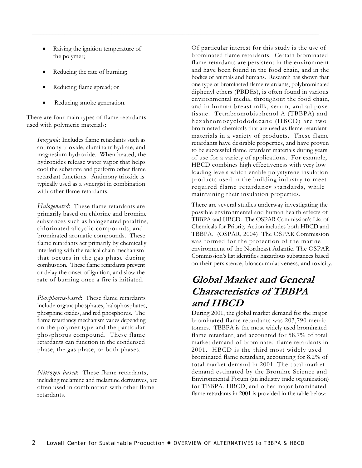Raising the ignition temperature of the polymer;

 $\mathcal{L}_\mathcal{L} = \{ \mathcal{L}_\mathcal{L} = \{ \mathcal{L}_\mathcal{L} = \{ \mathcal{L}_\mathcal{L} = \{ \mathcal{L}_\mathcal{L} = \{ \mathcal{L}_\mathcal{L} = \{ \mathcal{L}_\mathcal{L} = \{ \mathcal{L}_\mathcal{L} = \{ \mathcal{L}_\mathcal{L} = \{ \mathcal{L}_\mathcal{L} = \{ \mathcal{L}_\mathcal{L} = \{ \mathcal{L}_\mathcal{L} = \{ \mathcal{L}_\mathcal{L} = \{ \mathcal{L}_\mathcal{L} = \{ \mathcal{L}_\mathcal{$ 

- Reducing the rate of burning;
- Reducing flame spread; or
- Reducing smoke generation.

There are four main types of flame retardants used with polymeric materials:

*Inorganic*: Includes flame retardants such as antimony trioxide, alumina trihydrate, and magnesium hydroxide. When heated, the hydroxides release water vapor that helps cool the substrate and perform other flame retardant functions. Antimony trioxide is typically used as a synergist in combination with other flame retardants.

*Halogenated*: These flame retardants are primarily based on chlorine and bromine substances such as halogenated paraffins, chlorinated alicyclic compounds, and brominated aromatic compounds. These flame retardants act primarily by chemically interfering with the radical chain mechanism that occurs in the gas phase during combustion. These flame retardants prevent or delay the onset of ignition, and slow the rate of burning once a fire is initiated.

*Phosphorus-based*: These flame retardants include organophosphates, halophosphates, phosphine oxides, and red phosphorus. The flame retardancy mechanism varies depending on the polymer type and the particular phosphorus compound. These flame retardants can function in the condensed phase, the gas phase, or both phases.

*Nitrogen-based*: These flame retardants, including melamine and melamine derivatives, are often used in combination with other flame retardants.

Of particular interest for this study is the use of brominated flame retardants. Certain brominated flame retardants are persistent in the environment and have been found in the food chain, and in the bodies of animals and humans. Research has shown that one type of brominated flame retardants, polybrominated diphenyl ethers (PBDEs), is often found in various environmental media, throughout the food chain, and in human breast milk, serum, and adipose tissue. Tetrabromobisphenol A (TBBPA) and hexabromocyclododecane (HBCD) are two brominated chemicals that are used as flame retardant materials in a variety of products. These flame retardants have desirable properties, and have proven to be successful flame retardant materials during years of use for a variety of applications. For example, HBCD combines high effectiveness with very low loading levels which enable polystyrene insulation products used in the building industry to meet required flame retardancy standards, while maintaining their insulation properties.

There are several studies underway investigating the possible environmental and human health effects of TBBPA and HBCD. The OSPAR Commission's List of Chemicals for Priority Action includes both HBCD and TBBPA. (OSPAR, 2004) The OSPAR Commission was formed for the protection of the marine environment of the Northeast Atlantic. The OSPAR Commission's list identifies hazardous substances based on their persistence, bioaccumulativeness, and toxicity.

### **Global Market and General Characteristics of TBBPA and HBCD**

During 2001, the global market demand for the major brominated flame retardants was 203,790 metric tonnes. TBBPA is the most widely used brominated flame retardant, and accounted for 58.7% of total market demand of brominated flame retardants in 2001. HBCD is the third most widely used brominated flame retardant, accounting for 8.2% of total market demand in 2001. The total market demand estimated by the Bromine Science and Environmental Forum (an industry trade organization) for TBBPA, HBCD, and other major brominated flame retardants in 2001 is provided in the table below: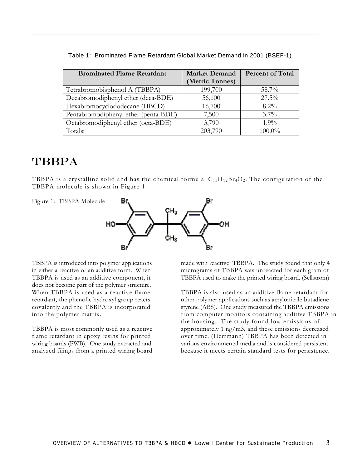| <b>Brominated Flame Retardant</b>    | <b>Market Demand</b> | <b>Percent of Total</b> |
|--------------------------------------|----------------------|-------------------------|
|                                      | (Metric Tonnes)      |                         |
| Tetrabromobisphenol A (TBBPA)        | 199,700              | 58.7%                   |
| Decabromodiphenyl ether (deca-BDE)   | 56,100               | $27.5\%$                |
| Hexabromocyclododecane (HBCD)        | 16,700               | $8.2\%$                 |
| Pentabromodiphenyl ether (penta-BDE) | 7,500                | $3.7\%$                 |
| Octabromodiphenyl ether (octa-BDE)   | 3,790                | $1.9\%$                 |
| Totals:                              | 203,790              | 100.0%                  |

Table 1: Brominated Flame Retardant Global Market Demand in 2001 (BSEF-1)

 $\mathcal{L}_\mathcal{L} = \{ \mathcal{L}_\mathcal{L} = \{ \mathcal{L}_\mathcal{L} = \{ \mathcal{L}_\mathcal{L} = \{ \mathcal{L}_\mathcal{L} = \{ \mathcal{L}_\mathcal{L} = \{ \mathcal{L}_\mathcal{L} = \{ \mathcal{L}_\mathcal{L} = \{ \mathcal{L}_\mathcal{L} = \{ \mathcal{L}_\mathcal{L} = \{ \mathcal{L}_\mathcal{L} = \{ \mathcal{L}_\mathcal{L} = \{ \mathcal{L}_\mathcal{L} = \{ \mathcal{L}_\mathcal{L} = \{ \mathcal{L}_\mathcal{$ 

### TBBPA

TBBPA is a crystalline solid and has the chemical formula:  $C_{15}H_{12}Br_4O_2$ . The configuration of the TBBPA molecule is shown in Figure 1:



TBBPA is introduced into polymer applications in either a reactive or an additive form. When TBBPA is used as an additive component, it does not become part of the polymer structure. When TBBPA is used as a reactive flame retardant, the phenolic hydroxyl group reacts covalently and the TBBPA is incorporated

into the polymer matrix.

TBBPA is most commonly used as a reactive flame retardant in epoxy resins for printed wiring boards (PWB). One study extracted and analyzed filings from a printed wiring board

made with reactive TBBPA. The study found that only 4 micrograms of TBBPA was unreacted for each gram of TBBPA used to make the printed wiring board. (Sellstrom)

TBBPA is also used as an additive flame retardant for other polymer applications such as acrylonitrile butadiene styrene (ABS). One study measured the TBBPA emissions from computer monitors containing additive TBBPA in the housing. The study found low emissions of approximately 1 ng/m3, and these emissions decreased over time. (Herrmann) TBBPA has been detected in various environmental media and is considered persistent because it meets certain standard tests for persistence.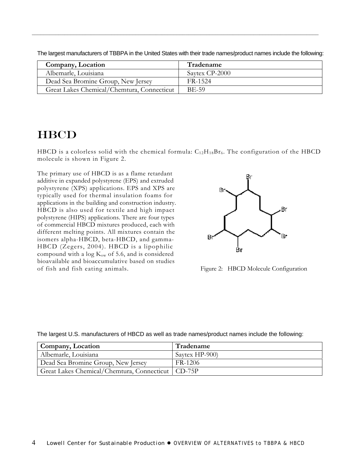| Company, Location                          | Tradename      |
|--------------------------------------------|----------------|
| Albemarle, Louisiana                       | Saytex CP-2000 |
| Dead Sea Bromine Group, New Jersey         | FR-1524        |
| Great Lakes Chemical/Chemtura, Connecticut | <b>BE-59</b>   |

The largest manufacturers of TBBPA in the United States with their trade names/product names include the following:

 $\mathcal{L}_\mathcal{L} = \{ \mathcal{L}_\mathcal{L} = \{ \mathcal{L}_\mathcal{L} = \{ \mathcal{L}_\mathcal{L} = \{ \mathcal{L}_\mathcal{L} = \{ \mathcal{L}_\mathcal{L} = \{ \mathcal{L}_\mathcal{L} = \{ \mathcal{L}_\mathcal{L} = \{ \mathcal{L}_\mathcal{L} = \{ \mathcal{L}_\mathcal{L} = \{ \mathcal{L}_\mathcal{L} = \{ \mathcal{L}_\mathcal{L} = \{ \mathcal{L}_\mathcal{L} = \{ \mathcal{L}_\mathcal{L} = \{ \mathcal{L}_\mathcal{$ 

### **HBCD**

HBCD is a colorless solid with the chemical formula:  $C_{12}H_{18}Br_6$ . The configuration of the HBCD molecule is shown in Figure 2.

The primary use of HBCD is as a flame retardant additive in expanded polystyrene (EPS) and extruded polystyrene (XPS) applications. EPS and XPS are typically used for thermal insulation foams for applications in the building and construction industry. HBCD is also used for textile and high impact polystyrene (HIPS) applications. There are four types of commercial HBCD mixtures produced, each with different melting points. All mixtures contain the isomers alpha-HBCD, beta-HBCD, and gamma-HBCD (Zegers, 2004). HBCD is a lipophilic compound with a log  $K_{ow}$  of 5.6, and is considered bioavailable and bioaccumulative based on studies of fish and fish eating animals. Figure 2: HBCD Molecule Configuration



The largest U.S. manufacturers of HBCD as well as trade names/product names include the following:

| Company, Location                                   | Tradename      |
|-----------------------------------------------------|----------------|
| Albemarle, Louisiana                                | Savtex HP-900) |
| Dead Sea Bromine Group, New Jersey                  | FR-1206        |
| Great Lakes Chemical/Chemtura, Connecticut   CD-75P |                |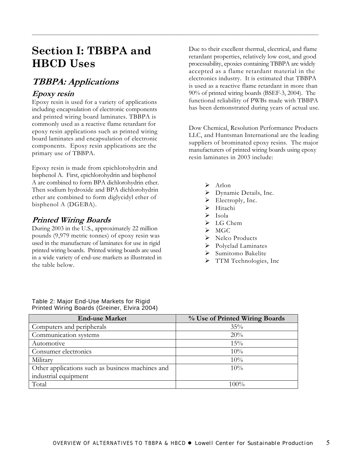### <span id="page-10-0"></span>**Section I: TBBPA and HBCD Uses**

### **TBBPA: Applications**

#### **Epoxy resin**

Epoxy resin is used for a variety of applications including encapsulation of electronic components and printed wiring board laminates. TBBPA is commonly used as a reactive flame retardant for epoxy resin applications such as printed wiring board laminates and encapsulation of electronic components. Epoxy resin applications are the primary use of TBBPA.

Epoxy resin is made from epichlorohydrin and bisphenol A. First, epichlorohydrin and bisphenol A are combined to form BPA dichlorohydrin ether. Then sodium hydroxide and BPA dichlorohydrin ether are combined to form diglycidyl ether of bisphenol A (DGEBA).

#### **Printed Wiring Boards**

During 2003 in the U.S., approximately 22 million pounds (9,979 metric tonnes) of epoxy resin was used in the manufacture of laminates for use in rigid printed wiring boards. Printed wiring boards are used in a wide variety of end-use markets as illustrated in the table below.

Due to their excellent thermal, electrical, and flame retardant properties, relatively low cost, and good processability, epoxies containing TBBPA are widely accepted as a flame retardant material in the electronics industry. It is estimated that TBBPA is used as a reactive flame retardant in more than 90% of printed wiring boards (BSEF-3, 2004). The functional reliability of PWBs made with TBBPA has been demonstrated during years of actual use.

Dow Chemical, Resolution Performance Products LLC, and Huntsman International are the leading suppliers of brominated epoxy resins. The major manufacturers of printed wiring boards using epoxy resin laminates in 2003 include:

¾ Arlon

- Dynamic Details, Inc.
- $\blacktriangleright$  Electroply, Inc.
- ¾ Hitachi
- $\triangleright$  Isola
- $\triangleright$  LG Chem
- $\triangleright$  MGC
- $\triangleright$  Nelco Products
- $\triangleright$  Polyclad Laminates
- ¾ Sumitomo Bakelite
- > TTM Technologies, Inc

| Table 2: Major End-Use Markets for Rigid     |  |
|----------------------------------------------|--|
| Printed Wiring Boards (Greiner, Elvira 2004) |  |

| <b>End-use Market</b>                            | % Use of Printed Wiring Boards |
|--------------------------------------------------|--------------------------------|
| Computers and peripherals                        | $35\%$                         |
| Communication systems                            | 20%                            |
| Automotive                                       | 15%                            |
| Consumer electronics                             | 10%                            |
| Military                                         | 10%                            |
| Other applications such as business machines and | $10\%$                         |
| industrial equipment                             |                                |
| Total                                            | $100\%$                        |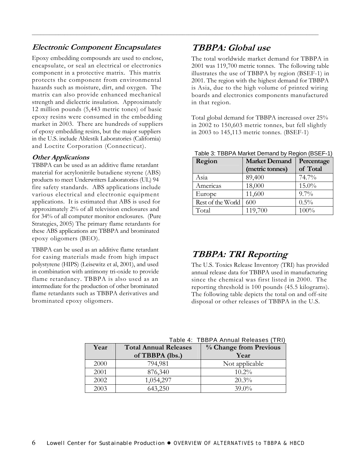#### **Electronic Component Encapsulates**

Epoxy embedding compounds are used to enclose, encapsulate, or seal an electrical or electronics component in a protective matrix. This matrix protects the component from environmental hazards such as moisture, dirt, and oxygen. The matrix can also provide enhanced mechanical strength and dielectric insulation. Approximately 12 million pounds (5,443 metric tones) of basic epoxy resins were consumed in the embedding market in 2003. There are hundreds of suppliers of epoxy embedding resins, but the major suppliers in the U.S. include Ablestik Laboratories (California) and Loctite Corporation (Connecticut).

#### **Other Applications**

TBBPA can be used as an additive flame retardant material for acrylonitrile butadiene styrene (ABS) products to meet Underwriters Laboratories (UL) 94 fire safety standards. ABS applications include various electrical and electronic equipment applications. It is estimated that ABS is used for approximately 2% of all television enclosures and for 34% of all computer monitor enclosures. (Pure Strategies, 2005) The primary flame retardants for these ABS applications are TBBPA and brominated epoxy oligomers (BEO).

TBBPA can be used as an additive flame retardant for casing materials made from high impact polystyrene (HIPS) (Leisewitz et al, 2001), and used in combination with antimony tri-oxide to provide flame retardancy. TBBPA is also used as an intermediate for the production of other brominated flame retardants such as TBBPA derivatives and brominated epoxy oligomers.

### **TBBPA: Global use**

<span id="page-11-0"></span> $\mathcal{L}_\mathcal{L} = \{ \mathcal{L}_\mathcal{L} = \{ \mathcal{L}_\mathcal{L} = \{ \mathcal{L}_\mathcal{L} = \{ \mathcal{L}_\mathcal{L} = \{ \mathcal{L}_\mathcal{L} = \{ \mathcal{L}_\mathcal{L} = \{ \mathcal{L}_\mathcal{L} = \{ \mathcal{L}_\mathcal{L} = \{ \mathcal{L}_\mathcal{L} = \{ \mathcal{L}_\mathcal{L} = \{ \mathcal{L}_\mathcal{L} = \{ \mathcal{L}_\mathcal{L} = \{ \mathcal{L}_\mathcal{L} = \{ \mathcal{L}_\mathcal{$ 

The total worldwide market demand for TBBPA in 2001 was 119,700 metric tonnes. The following table illustrates the use of TBBPA by region (BSEF-1) in 2001. The region with the highest demand for TBBPA is Asia, due to the high volume of printed wiring boards and electronics components manufactured in that region.

Total global demand for TBBPA increased over 25% in 2002 to 150,603 metric tonnes, but fell slightly in 2003 to 145,113 metric tonnes. (BSEF-1)

| Region            | <b>Market Demand</b> | Percentage |
|-------------------|----------------------|------------|
|                   | (metric tonnes)      | of Total   |
| Asia              | 89,400               | 74.7%      |
| Americas          | 18,000               | $15.0\%$   |
| Europe            | 11,600               | $9.7\%$    |
| Rest of the World | 600                  | $0.5\%$    |
| Total             | 119,700              | 100%       |

Table 3: TBBPA Market Demand by Region (BSEF-1)

### **TBBPA: TRI Reporting**

The U.S. Toxics Release Inventory (TRI) has provided annual release data for TBBPA used in manufacturing since the chemical was first listed in 2000. The reporting threshold is 100 pounds (45.5 kilograms). The following table depicts the total on and off-site disposal or other releases of TBBPA in the U.S.

|      |                              | Table 4: TBBPA Annual Releases (TRI) |
|------|------------------------------|--------------------------------------|
| Year | <b>Total Annual Releases</b> | % Change from Previous               |
|      | of TBBPA (lbs.)              | Year                                 |
| 2000 | 794,981                      | Not applicable                       |
| 2001 | 876,340                      | $10.2\%$                             |
| 2002 | 1,054,297                    | 20.3%                                |
| 2003 | 643,250                      | 39.0%                                |

Table 4: TBBPA Annual Releases (TRI)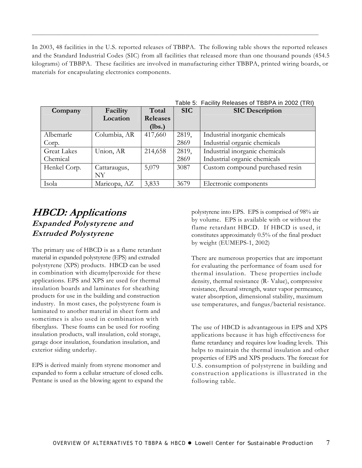In 2003, 48 facilities in the U.S. reported releases of TBBPA. The following table shows the reported releases and the Standard Industrial Codes (SIC) from all facilities that released more than one thousand pounds (454.5 kilograms) of TBBPA. These facilities are involved in manufacturing either TBBPA, printed wiring boards, or materials for encapsulating electronics components.

 $\mathcal{L}_\mathcal{L} = \{ \mathcal{L}_\mathcal{L} = \{ \mathcal{L}_\mathcal{L} = \{ \mathcal{L}_\mathcal{L} = \{ \mathcal{L}_\mathcal{L} = \{ \mathcal{L}_\mathcal{L} = \{ \mathcal{L}_\mathcal{L} = \{ \mathcal{L}_\mathcal{L} = \{ \mathcal{L}_\mathcal{L} = \{ \mathcal{L}_\mathcal{L} = \{ \mathcal{L}_\mathcal{L} = \{ \mathcal{L}_\mathcal{L} = \{ \mathcal{L}_\mathcal{L} = \{ \mathcal{L}_\mathcal{L} = \{ \mathcal{L}_\mathcal{$ 

| Company            | Facility     | Total           | <b>SIC</b> | <b>SIC Description</b>          |
|--------------------|--------------|-----------------|------------|---------------------------------|
|                    | Location     | <b>Releases</b> |            |                                 |
|                    |              | (lbs.)          |            |                                 |
| Albemarle          | Columbia, AR | 417,660         | 2819,      | Industrial inorganic chemicals  |
| Corp.              |              |                 | 2869       | Industrial organic chemicals    |
| <b>Great Lakes</b> | Union, AR    | 214,658         | 2819,      | Industrial inorganic chemicals  |
| Chemical           |              |                 | 2869       | Industrial organic chemicals    |
| Henkel Corp.       | Cattaraugus, | 5,079           | 3087       | Custom compound purchased resin |
|                    | NY           |                 |            |                                 |
| Isola              | Maricopa, AZ | 3,833           | 3679       | Electronic components           |

Table 5: Facility Releases of TBBPA in 2002 (TRI)

### **HBCD: Applications Expanded Polystyrene and Extruded Polystyrene**

The primary use of HBCD is as a flame retardant material in expanded polystyrene (EPS) and extruded polystyrene (XPS) products. HBCD can be used in combination with dicumylperoxide for these applications. EPS and XPS are used for thermal insulation boards and laminates for sheathing products for use in the building and construction industry. In most cases, the polystyrene foam is laminated to another material in sheet form and sometimes is also used in combination with fiberglass. These foams can be used for roofing insulation products, wall insulation, cold storage, garage door insulation, foundation insulation, and exterior siding underlay.

EPS is derived mainly from styrene monomer and expanded to form a cellular structure of closed cells. Pentane is used as the blowing agent to expand the polystyrene into EPS. EPS is comprised of 98% air by volume. EPS is available with or without the flame retardant HBCD. If HBCD is used, it constitutes approximately 0.5% of the final product by weight (EUMEPS-1, 2002)

There are numerous properties that are important for evaluating the performance of foam used for thermal insulation. These properties include density, thermal resistance (R- Value), compressive resistance, flexural strength, water vapor permeance, water absorption, dimensional stability, maximum use temperatures, and fungus/bacterial resistance.

The use of HBCD is advantageous in EPS and XPS applications because it has high effectiveness for flame retardancy and requires low loading levels. This helps to maintain the thermal insulation and other properties of EPS and XPS products. The forecast for U.S. consumption of polystyrene in building and construction applications is illustrated in the following table.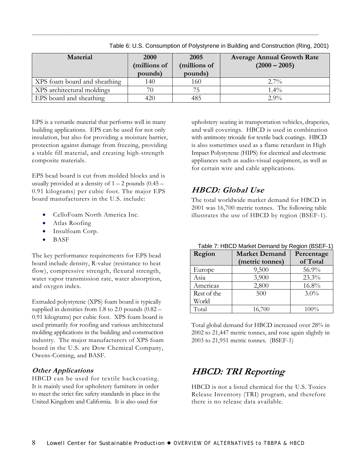| <b>Material</b>              | <b>2000</b><br>(millions of | 2005<br>(millions of | <b>Average Annual Growth Rate</b><br>$(2000 - 2005)$ |
|------------------------------|-----------------------------|----------------------|------------------------------------------------------|
|                              | pounds)                     | pounds)              |                                                      |
| XPS foam board and sheathing | 140                         | 160                  | $2.7\%$                                              |
| XPS architectural moldings   |                             |                      | $1.4\%$                                              |
| EPS board and sheathing      | 420                         | 485                  | $2.9\%$                                              |

<span id="page-13-0"></span> $\mathcal{L}_\mathcal{L} = \{ \mathcal{L}_\mathcal{L} = \{ \mathcal{L}_\mathcal{L} = \{ \mathcal{L}_\mathcal{L} = \{ \mathcal{L}_\mathcal{L} = \{ \mathcal{L}_\mathcal{L} = \{ \mathcal{L}_\mathcal{L} = \{ \mathcal{L}_\mathcal{L} = \{ \mathcal{L}_\mathcal{L} = \{ \mathcal{L}_\mathcal{L} = \{ \mathcal{L}_\mathcal{L} = \{ \mathcal{L}_\mathcal{L} = \{ \mathcal{L}_\mathcal{L} = \{ \mathcal{L}_\mathcal{L} = \{ \mathcal{L}_\mathcal{$ 

Table 6: U.S. Consumption of Polystyrene in Building and Construction (Ring, 2001)

EPS is a versatile material that performs well in many building applications. EPS can be used for not only insulation, but also for providing a moisture barrier, protection against damage from freezing, providing a stable fill material, and creating high-strength composite materials.

EPS bead board is cut from molded blocks and is usually provided at a density of  $1 - 2$  pounds  $(0.45 -$ 0.91 kilograms) per cubic foot. The major EPS board manufacturers in the U.S. include:

- CelloFoam North America Inc.
- Atlas Roofing
- Insulfoam Corp.
- BASF

The key performance requirements for EPS bead board include density, R-value (resistance to heat flow), compressive strength, flexural strength, water vapor transmission rate, water absorption, and oxygen index.

Extruded polystyrene (XPS) foam board is typically supplied in densities from 1.8 to 2.0 pounds (0.82 – 0.91 kilograms) per cubic foot. XPS foam board is used primarily for roofing and various architectural molding applications in the building and construction industry. The major manufacturers of XPS foam board in the U.S. are Dow Chemical Company, Owens-Corning, and BASF.

**Other Applications**<br>HBCD can be used for textile backcoating. It is mainly used for upholstery furniture in order to meet the strict fire safety standards in place in the United Kingdom and California. It is also used for

upholstery seating in transportation vehicles, draperies, and wall coverings. HBCD is used in combination with antimony trioxide for textile back coatings. HBCD is also sometimes used as a flame retardant in High Impact Polystyrene (HIPS) for electrical and electronic appliances such as audio-visual equipment, as well as for certain wire and cable applications.

#### **HBCD: Global Use**

The total worldwide market demand for HBCD in 2001 was 16,700 metric tonnes. The following table illustrates the use of HBCD by region (BSEF-1).

| Region      | <b>Market Demand</b><br>(metric tonnes) | Percentage<br>of Total |
|-------------|-----------------------------------------|------------------------|
| Europe      | 9,500                                   | 56.9%                  |
| Asia        | 3,900                                   | 23.3%                  |
| Americas    | 2,800                                   | 16.8%                  |
| Rest of the | 500                                     | $3.0\%$                |
| World       |                                         |                        |
| Total       | 16,700                                  | 100%                   |

Table 7: HBCD Market Demand by Region (BSEF-1)

Total global demand for HBCD increased over 28% in 2002 to 21,447 metric tonnes, and rose again slightly in 2003 to 21,951 metric tonnes. (BSEF-1)

### **HBCD: TRI Reporting**

HBCD is not a listed chemical for the U.S. Toxics Release Inventory (TRI) program, and therefore there is no release data available.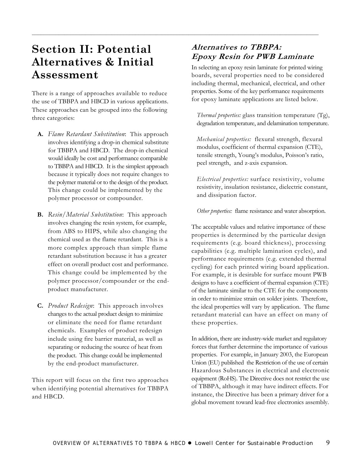### **Section II: Potential Alternatives & Initial Assessment**

There is a range of approaches available to reduce the use of TBBPA and HBCD in various applications. These approaches can be grouped into the following three categories:

- **A.** *Flame Retardant Substitution*: This approach involves identifying a drop-in chemical substitute for TBBPA and HBCD. The drop-in chemical would ideally be cost and performance comparable to TBBPA and HBCD. It is the simplest approach because it typically does not require changes to the polymer material or to the design of the product. This change could be implemented by the polymer processor or compounder.
- **B.** *Resin/Material Substitution*: This approach involves changing the resin system, for example, from ABS to HIPS, while also changing the chemical used as the flame retardant. This is a more complex approach than simple flame retardant substitution because it has a greater effect on overall product cost and performance. This change could be implemented by the polymer processor/compounder or the endproduct manufacturer.
- **C.** *Product Redesign*: This approach involves changes to the actual product design to minimize or eliminate the need for flame retardant chemicals. Examples of product redesign include using fire barrier material, as well as separating or reducing the source of heat from the product. This change could be implemented by the end-product manufacturer.

This report will focus on the first two approaches when identifying potential alternatives for TBBPA and HBCD.

#### **Alternatives to TBBPA: Epoxy Resin for PWB Laminate**

<span id="page-14-0"></span> $\mathcal{L}_\mathcal{L} = \{ \mathcal{L}_\mathcal{L} = \{ \mathcal{L}_\mathcal{L} = \{ \mathcal{L}_\mathcal{L} = \{ \mathcal{L}_\mathcal{L} = \{ \mathcal{L}_\mathcal{L} = \{ \mathcal{L}_\mathcal{L} = \{ \mathcal{L}_\mathcal{L} = \{ \mathcal{L}_\mathcal{L} = \{ \mathcal{L}_\mathcal{L} = \{ \mathcal{L}_\mathcal{L} = \{ \mathcal{L}_\mathcal{L} = \{ \mathcal{L}_\mathcal{L} = \{ \mathcal{L}_\mathcal{L} = \{ \mathcal{L}_\mathcal{$ 

In selecting an epoxy resin laminate for printed wiring boards, several properties need to be considered including thermal, mechanical, electrical, and other properties. Some of the key performance requirements for epoxy laminate applications are listed below.

*Thermal properties:* glass transition temperature (Tg), degradation temperature, and delamination temperature.

*Mechanical properties:* flexural strength, flexural modulus, coefficient of thermal expansion (CTE), tensile strength, Young's modulus, Poisson's ratio, peel strength, and z-axis expansion.

*Electrical properties:* surface resistivity, volume resistivity, insulation resistance, dielectric constant, and dissipation factor.

*Other properties:* flame resistance and water absorption.

The acceptable values and relative importance of these properties is determined by the particular design requirements (e.g. board thickness), processing capabilities (e.g. multiple lamination cycles), and performance requirements (e.g. extended thermal cycling) for each printed wiring board application. For example, it is desirable for surface mount PWB designs to have a coefficient of thermal expansion (CTE) of the laminate similar to the CTE for the components in order to minimize strain on solder joints. Therefore, the ideal properties will vary by application. The flame retardant material can have an effect on many of these properties.

In addition, there are industry-wide market and regulatory forces that further determine the importance of various properties. For example, in January 2003, the European Union (EU) published the Restriction of the use of certain Hazardous Substances in electrical and electronic equipment (RoHS). The Directive does not restrict the use of TBBPA, although it may have indirect effects. For instance, the Directive has been a primary driver for a global movement toward lead-free electronics assembly.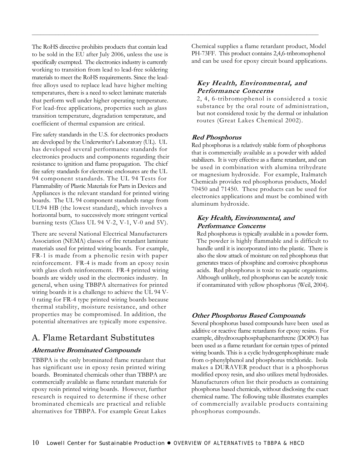The RoHS directive prohibits products that contain lead to be sold in the EU after July 2006, unless the use is specifically exempted. The electronics industry is currently working to transition from lead to lead-free soldering materials to meet the RoHS requirements. Since the leadfree alloys used to replace lead have higher melting temperatures, there is a need to select laminate materials that perform well under higher operating temperature. For lead-free applications, properties such as glass transition temperature, degradation temperature, and coefficient of thermal expansion are critical.

Fire safety standards in the U.S. for electronics products are developed by the Underwriter's Laboratory (UL). UL has developed several performance standards for electronics products and components regarding their resistance to ignition and flame propagation. The chief fire safety standards for electronic enclosures are the UL 94 component standards. The UL 94 Tests for Flammability of Plastic Materials for Parts in Devices and Appliances is the relevant standard for printed wiring boards. The UL 94 component standards range from UL94 HB (the lowest standard), which involves a horizontal burn, to successively more stringent vertical burning tests (Class UL 94 V-2, V-1, V-0 and 5V).

There are several National Electrical Manufacturers Association (NEMA) classes of fire retardant laminate materials used for printed wiring boards. For example, FR-1 is made from a phenolic resin with paper reinforcement. FR-4 is made from an epoxy resin with glass cloth reinforcement. FR-4 printed wiring boards are widely used in the electronics industry. In general, when using TBBPA alternatives for printed wiring boards it is a challenge to achieve the UL 94 V-0 rating for FR-4 type printed wiring boards because thermal stability, moisture resistance, and other properties may be compromised. In addition, the potential alternatives are typically more expensive.

#### A. Flame Retardant Substitutes

#### **Alternative Brominated Compounds**

TBBPA is the only brominated flame retardant that has significant use in epoxy resin printed wiring boards. Brominated chemicals other than TBBPA are commercially available as flame retardant materials for epoxy resin printed wiring boards. However, further research is required to determine if these other brominated chemicals are practical and reliable alternatives for TBBPA. For example Great Lakes

Chemical supplies a flame retardant product, Model PH-73FF. This product contains 2,4,6-tribromophenol and can be used for epoxy circuit board applications.

#### **Key Health, Environmental, and Performance Concerns**

2, 4, 6-tribromophenol is considered a toxic substance by the oral route of administration, but not considered toxic by the dermal or inhalation routes (Great Lakes Chemical 2002).

#### **Red Phosphorus**

 $\mathcal{L}_\mathcal{L} = \{ \mathcal{L}_\mathcal{L} = \{ \mathcal{L}_\mathcal{L} = \{ \mathcal{L}_\mathcal{L} = \{ \mathcal{L}_\mathcal{L} = \{ \mathcal{L}_\mathcal{L} = \{ \mathcal{L}_\mathcal{L} = \{ \mathcal{L}_\mathcal{L} = \{ \mathcal{L}_\mathcal{L} = \{ \mathcal{L}_\mathcal{L} = \{ \mathcal{L}_\mathcal{L} = \{ \mathcal{L}_\mathcal{L} = \{ \mathcal{L}_\mathcal{L} = \{ \mathcal{L}_\mathcal{L} = \{ \mathcal{L}_\mathcal{$ 

Red phosphorus is a relatively stable form of phosphorus that is commercially available as a powder with added stabilizers. It is very effective as a flame retardant, and can be used in combination with alumina trihydrate or magnesium hydroxide. For example, Italmatch Chemicals provides red phosphorus products, Model 70450 and 71450. These products can be used for electronics applications and must be combined with aluminum hydroxide.

#### **Key Health, Environmental, and Performance Concerns**

Red phosphorus is typically available in a powder form. The powder is highly flammable and is difficult to handle until it is incorporated into the plastic. There is also the slow attack of moisture on red phosphorus that generates traces of phosphine and corrosive phosphorus acids. Red phosphorus is toxic to aquatic organisms. Although unlikely, red phosphorus can be acutely toxic if contaminated with yellow phosphorus (Weil, 2004).

#### **Other Phosphorus Based Compounds**

Several phosphorus based compounds have been used as additive or reactive flame retardants for epoxy resins. For example, dihydrooxaphosphaphenanthrene (DOPO) has been used as a flame retardant for certain types of printed wiring boards. This is a cyclic hydrogenphosphinate made from o-phenylphenol and phosphorus trichloride. Isola makes a DURAVER product that is a phosphorus modified epoxy resin, and also utilizes metal hydroxides. Manufacturers often list their products as containing phosphorus based chemicals, without disclosing the exact chemical name. The following table illustrates examples of commercially available products containing phosphorus compounds.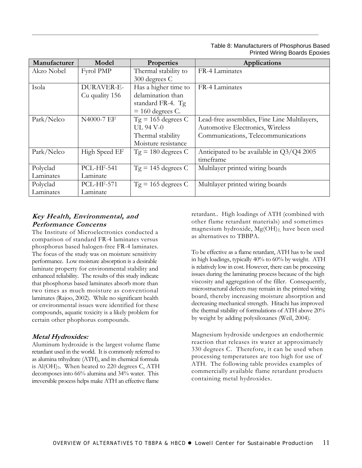#### Table 8: Manufacturers of Phosphorus Based Printed Wiring Boards Epoxies

| Manufacturer | Model             | <b>Properties</b>    | <b>Applications</b>                          |
|--------------|-------------------|----------------------|----------------------------------------------|
| Akzo Nobel   | Fyrol PMP         | Thermal stability to | FR-4 Laminates                               |
|              |                   | 300 degrees C        |                                              |
| Isola        | DURAVER-E-        | Has a higher time to | FR-4 Laminates                               |
|              | Cu quality 156    | delamination than    |                                              |
|              |                   | standard FR-4. Tg    |                                              |
|              |                   | $= 160$ degrees C.   |                                              |
| Park/Nelco   | N4000-7 EF        | $Tg = 165$ degrees C | Lead-free assemblies, Fine Line Multilayers, |
|              |                   | <b>UL 94 V-0</b>     | Automotive Electronics, Wireless             |
|              |                   | Thermal stability    | Communications, Telecommunications           |
|              |                   | Moisture resistance  |                                              |
| Park/Nelco   | High Speed EF     | $Tg = 180$ degrees C | Anticipated to be available in $Q3/Q4 2005$  |
|              |                   |                      | timeframe                                    |
| Polyclad     | <b>PCL-HF-541</b> | $Tg = 145$ degrees C | Multilayer printed wiring boards             |
| Laminates    | Laminate          |                      |                                              |
| Polyclad     | <b>PCL-HF-571</b> | $Tg = 165$ degrees C | Multilayer printed wiring boards             |
| Laminates    | Laminate          |                      |                                              |

 $\mathcal{L}_\mathcal{L} = \{ \mathcal{L}_\mathcal{L} = \{ \mathcal{L}_\mathcal{L} = \{ \mathcal{L}_\mathcal{L} = \{ \mathcal{L}_\mathcal{L} = \{ \mathcal{L}_\mathcal{L} = \{ \mathcal{L}_\mathcal{L} = \{ \mathcal{L}_\mathcal{L} = \{ \mathcal{L}_\mathcal{L} = \{ \mathcal{L}_\mathcal{L} = \{ \mathcal{L}_\mathcal{L} = \{ \mathcal{L}_\mathcal{L} = \{ \mathcal{L}_\mathcal{L} = \{ \mathcal{L}_\mathcal{L} = \{ \mathcal{L}_\mathcal{$ 

#### **Key Health, Environmental, and Performance Concerns**

The Institute of Microelectronics conducted a comparison of standard FR-4 laminates versus phosphorus based halogen-free FR-4 laminates. The focus of the study was on moisture sensitivity performance. Low moisture absorption is a desirable laminate property for environmental stability and enhanced reliability. The results of this study indicate that phosphorus based laminates absorb more than two times as much moisture as conventional laminates (Rajoo, 2002). While no significant health or environmental issues were identified for these compounds, aquatic toxicity is a likely problem for certain other phophorus compounds.

#### **Metal Hydroxides:**

Aluminum hydroxide is the largest volume flame retardant used in the world. It is commonly referred to as alumina trihydrate (ATH), and its chemical formula is Al(OH)3. When heated to 220 degrees C, ATH decomposes into 66% alumina and 34% water. This irreversible process helps make ATH an effective flame

retardant.. High loadings of ATH (combined with other flame retardant materials) and sometimes magnesium hydroxide, Mg(OH)2, have been used as alternatives to TBBPA.

To be effective as a flame retardant, ATH has to be used in high loadings, typically 40% to 60% by weight. ATH is relatively low in cost. However, there can be processing issues during the laminating process because of the high viscosity and aggregation of the filler. Consequently, microstructural defects may remain in the printed wiring board, thereby increasing moisture absorption and decreasing mechanical strength. Hitachi has improved the thermal stability of formulations of ATH above 20% by weight by adding polysiloxanes (Weil, 2004).

Magnesium hydroxide undergoes an endothermic reaction that releases its water at approximately 330 degrees C. Therefore, it can be used when processing temperatures are too high for use of ATH. The following table provides examples of commercially available flame retardant products containing metal hydroxides.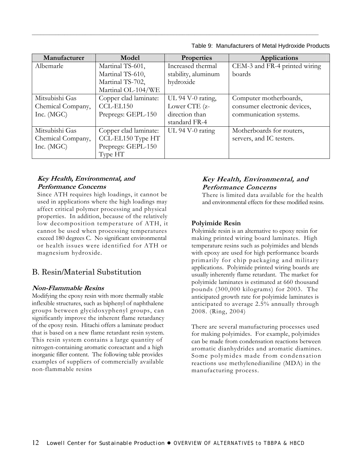| Model                 | <b>Properties</b>   | <b>Applications</b>           |
|-----------------------|---------------------|-------------------------------|
| Martinal TS-601,      | Increased thermal   | CEM-3 and FR-4 printed wiring |
| Martinal TS-610,      | stability, aluminum | boards                        |
| Martinal TS-702,      | hydroxide           |                               |
| Martinal OL-104/WE    |                     |                               |
| Copper clad laminate: | UL 94 V-0 rating,   | Computer motherboards,        |
| CCL-EL150             | Lower CTE (z-       | consumer electronic devices,  |
| Prepregs: GEPL-150    | direction than      | communication systems.        |
|                       | standard FR-4       |                               |
| Copper clad laminate: | $UL$ 94 V-0 rating  | Motherboards for routers,     |
| CCL-EL150 Type HT     |                     | servers, and IC testers.      |
| Prepregs: GEPL-150    |                     |                               |
| Type HT               |                     |                               |
|                       |                     |                               |

 $\mathcal{L}_\mathcal{L} = \{ \mathcal{L}_\mathcal{L} = \{ \mathcal{L}_\mathcal{L} = \{ \mathcal{L}_\mathcal{L} = \{ \mathcal{L}_\mathcal{L} = \{ \mathcal{L}_\mathcal{L} = \{ \mathcal{L}_\mathcal{L} = \{ \mathcal{L}_\mathcal{L} = \{ \mathcal{L}_\mathcal{L} = \{ \mathcal{L}_\mathcal{L} = \{ \mathcal{L}_\mathcal{L} = \{ \mathcal{L}_\mathcal{L} = \{ \mathcal{L}_\mathcal{L} = \{ \mathcal{L}_\mathcal{L} = \{ \mathcal{L}_\mathcal{$ 

Table 9: Manufacturers of Metal Hydroxide Products

#### **Key Health, Environmental, and Performance Concerns**

Since ATH requires high loadings, it cannot be used in applications where the high loadings may affect critical polymer processing and physical properties. In addition, because of the relatively low decomposition temperature of ATH, it cannot be used when processing temperatures exceed 180 degrees C. No significant environmental or health issues were identified for ATH or magnesium hydroxide.

#### B. Resin/Material Substitution

#### **Non-Flammable Resins**

Modifying the epoxy resin with more thermally stable inflexible structures, such as biphenyl of naphthalene groups between glycidoxyphenyl groups, can significantly improve the inherent flame retardancy of the epoxy resin. Hitachi offers a laminate product that is based on a new flame retardant resin system. This resin system contains a large quantity of nitrogen-containing aromatic coreactant and a high inorganic filler content. The following table provides examples of suppliers of commercially available non-flammable resins

#### **Key Health, Environmental, and Performance Concerns**

There is limited data available for the health and environmental effects for these modified resins.

#### **Polyimide Resin**

Polyimide resin is an alternative to epoxy resin for making printed wiring board laminates. High temperature resins such as polyimides and blends with epoxy are used for high performance boards primarily for chip packaging and military applications. Polyimide printed wiring boards are usually inherently flame retardant. The market for polyimide laminates is estimated at 660 thousand pounds (300,000 kilograms) for 2003. The anticipated growth rate for polyimide laminates is anticipated to average 2.5% annually through 2008. (Ring, 2004)

There are several manufacturing processes used for making polyimides. For example, polyimides can be made from condensation reactions between aromatic dianhydrides and aromatic diamines. Some polymides made from condensation reactions use methylenedianiline (MDA) in the manufacturing process.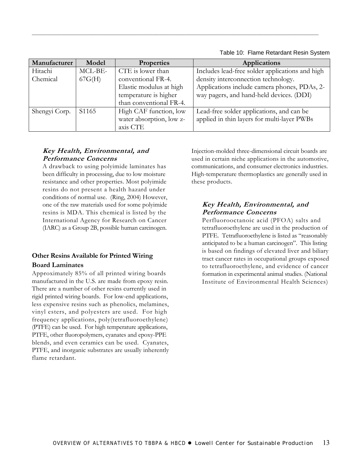Table 10: Flame Retardant Resin System

| Manufacturer  | Model             | <b>Properties</b>        | <b>Applications</b>                             |
|---------------|-------------------|--------------------------|-------------------------------------------------|
| Hitachi       | MCL-BE-           | CTE is lower than        | Includes lead-free solder applications and high |
| Chemical      | 67G(H)            | conventional FR-4.       | density interconnection technology.             |
|               |                   | Elastic modulus at high  | Applications include camera phones, PDAs, 2-    |
|               |                   | temperature is higher    | way pagers, and hand-held devices. (DDI)        |
|               |                   | than conventional FR-4.  |                                                 |
| Shengyi Corp. | S <sub>1165</sub> | High CAF function, low   | Lead-free solder applications, and can be       |
|               |                   | water absorption, low z- | applied in thin layers for multi-layer PWBs     |
|               |                   | axis CTE                 |                                                 |

 $\mathcal{L}_\mathcal{L} = \{ \mathcal{L}_\mathcal{L} = \{ \mathcal{L}_\mathcal{L} = \{ \mathcal{L}_\mathcal{L} = \{ \mathcal{L}_\mathcal{L} = \{ \mathcal{L}_\mathcal{L} = \{ \mathcal{L}_\mathcal{L} = \{ \mathcal{L}_\mathcal{L} = \{ \mathcal{L}_\mathcal{L} = \{ \mathcal{L}_\mathcal{L} = \{ \mathcal{L}_\mathcal{L} = \{ \mathcal{L}_\mathcal{L} = \{ \mathcal{L}_\mathcal{L} = \{ \mathcal{L}_\mathcal{L} = \{ \mathcal{L}_\mathcal{$ 

#### **Key Health, Environmental, and Performance Concerns**

A drawback to using polyimide laminates has been difficulty in processing, due to low moisture resistance and other properties. Most polyimide resins do not present a health hazard under conditions of normal use. (Ring, 2004) However, one of the raw materials used for some polyimide resins is MDA. This chemical is listed by the International Agency for Research on Cancer (IARC) as a Group 2B, possible human carcinogen.

#### **Other Resins Available for Printed Wiring Board Laminates**

Approximately 85% of all printed wiring boards manufactured in the U.S. are made from epoxy resin. There are a number of other resins currently used in rigid printed wiring boards. For low-end applications, less expensive resins such as phenolics, melamines, vinyl esters, and polyesters are used. For high frequency applications, poly(tetrafluoroethylene) (PTFE) can be used. For high temperature applications, PTFE, other fluoropolymers, cyanates and epoxy-PPE blends, and even ceramics can be used. Cyanates, PTFE, and inorganic substrates are usually inherently flame retardant.

Injection-molded three-dimensional circuit boards are used in certain niche applications in the automotive, communications, and consumer electronics industries. High-temperature thermoplastics are generally used in these products.

#### **Key Health, Environmental, and Performance Concerns**

Perfluorooctanoic acid (PFOA) salts and tetrafluoroethylene are used in the production of PTFE. Tetrafluoroethylene is listed as "reasonably anticipated to be a human carcinogen". This listing is based on findings of elevated liver and biliary tract cancer rates in occupational groups exposed to tetrafluoroethylene, and evidence of cancer formation in experimental animal studies. (National Institute of Environmental Health Sciences)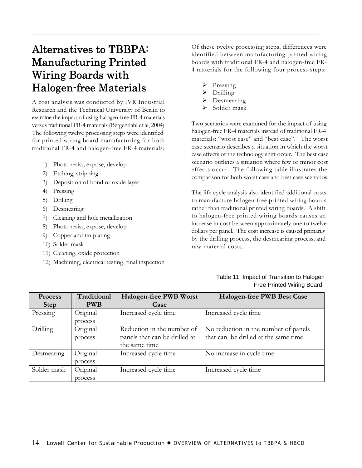### Alternatives to TBBPA: Manufacturing Printed Wiring Boards with Halogen-free Materials

A cost analysis was conducted by IVR Industrial Research and the Technical University of Berlin to examine the impact of using halogen-free FR-4 materials versus traditional FR-4 materials (Bergendahl et al, 2004) The following twelve processing steps were identified for printed wiring board manufacturing for both traditional FR-4 and halogen-free FR-4 materials:

- 1) Photo resist, expose, develop
- 2) Etching, stripping
- 3) Deposition of bond or oxide layer
- 4) Pressing
- 5) Drilling
- 6) Desmearing
- 7) Cleaning and hole metallization
- 8) Photo resist, expose, develop
- 9) Copper and tin plating
- 10) Solder mask
- 11) Cleaning, oxide protection
- 12) Machining, electrical testing, final inspection

Of these twelve processing steps, differences were identified between manufacturing printed wiring boards with traditional FR-4 and halogen-free FR-4 materials for the following four process steps:

 $\triangleright$  Pressing

<span id="page-19-0"></span> $\mathcal{L}_\mathcal{L} = \{ \mathcal{L}_\mathcal{L} = \{ \mathcal{L}_\mathcal{L} = \{ \mathcal{L}_\mathcal{L} = \{ \mathcal{L}_\mathcal{L} = \{ \mathcal{L}_\mathcal{L} = \{ \mathcal{L}_\mathcal{L} = \{ \mathcal{L}_\mathcal{L} = \{ \mathcal{L}_\mathcal{L} = \{ \mathcal{L}_\mathcal{L} = \{ \mathcal{L}_\mathcal{L} = \{ \mathcal{L}_\mathcal{L} = \{ \mathcal{L}_\mathcal{L} = \{ \mathcal{L}_\mathcal{L} = \{ \mathcal{L}_\mathcal{$ 

- $\triangleright$  Drilling
- Desmearing
- Solder mask

Two scenarios were examined for the impact of using halogen-free FR-4 materials instead of traditional FR-4 materials: "worst case" and "best case". The worst case scenario describes a situation in which the worst case effects of the technology shift occur. The best case scenario outlines a situation where few or minor cost effects occur. The following table illustrates the comparison for both worst case and best case scenarios.

The life cycle analysis also identified additional costs to manufacture halogen-free printed wiring boards rather than traditional printed wiring boards. A shift to halogen-free printed wiring boards causes an increase in cost between approximately one to twelve dollars per panel. The cost increase is caused primarily by the drilling process, the desmearing process, and raw material costs.

#### Table 11: Impact of Transition to Halogen Free Printed Wiring Board

| <b>Process</b> | Traditional | <b>Halogen-free PWB Worst</b> | <b>Halogen-free PWB Best Case</b>    |
|----------------|-------------|-------------------------------|--------------------------------------|
| <b>Step</b>    | <b>PWB</b>  | Case                          |                                      |
| Pressing       | Original    | Increased cycle time          | Increased cycle time                 |
|                | process     |                               |                                      |
| Drilling       | Original    | Reduction in the number of    | No reduction in the number of panels |
|                | process     | panels that can be drilled at | that can be drilled at the same time |
|                |             | the same time                 |                                      |
| Desmearing     | Original    | Increased cycle time          | No increase in cycle time            |
|                | process     |                               |                                      |
| Solder mask    | Original    | Increased cycle time          | Increased cycle time                 |
|                | process     |                               |                                      |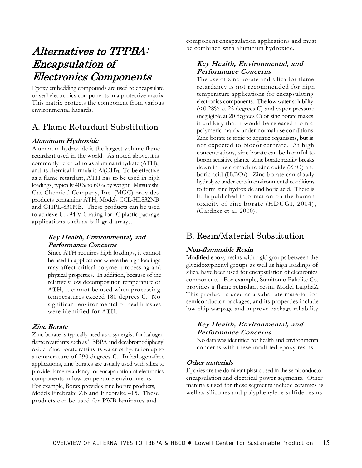### Alternatives to TPPBA: Encapsulation of Electronics Components

Epoxy embedding compounds are used to encapsulate or seal electronics components in a protective matrix. This matrix protects the component from various environmental hazards.

#### A. Flame Retardant Substitution

#### **Aluminum Hydroxide**

Aluminum hydroxide is the largest volume flame retardant used in the world. As noted above, it is commonly referred to as alumina trihydrate (ATH), and its chemical formula is  $\text{Al}(\text{OH})_3$ . To be effective as a flame retardant, ATH has to be used in high loadings, typically 40% to 60% by weight. Mitsubishi Gas Chemical Company, Inc. (MGC) provides products containing ATH, Models CCL-HL832NB and GHPL-830NB. These products can be used to achieve UL 94 V-0 rating for IC plastic package applications such as ball grid arrays.

#### **Key Health, Environmental, and Performance Concerns**

Since ATH requires high loadings, it cannot be used in applications where the high loadings may affect critical polymer processing and physical properties. In addition, because of the relatively low decomposition temperature of ATH, it cannot be used when processing temperatures exceed 180 degrees C. No significant environmental or health issues were identified for ATH.

#### **Zinc Borate**

Zinc borate is typically used as a synergist for halogen flame retardants such as TBBPA and decabromodiphenyl oxide. Zinc borate retains its water of hydration up to a temperature of 290 degrees C. In halogen-free applications, zinc borates are usually used with silica to provide flame retardancy for encapsulation of electronics components in low temperature environments. For example, Borax provides zinc borate products, Models Firebrake ZB and Firebrake 415. These products can be used for PWB laminates and

component encapsulation applications and must be combined with aluminum hydroxide.

<span id="page-20-0"></span> $\mathcal{L}_\mathcal{L} = \{ \mathcal{L}_\mathcal{L} = \{ \mathcal{L}_\mathcal{L} = \{ \mathcal{L}_\mathcal{L} = \{ \mathcal{L}_\mathcal{L} = \{ \mathcal{L}_\mathcal{L} = \{ \mathcal{L}_\mathcal{L} = \{ \mathcal{L}_\mathcal{L} = \{ \mathcal{L}_\mathcal{L} = \{ \mathcal{L}_\mathcal{L} = \{ \mathcal{L}_\mathcal{L} = \{ \mathcal{L}_\mathcal{L} = \{ \mathcal{L}_\mathcal{L} = \{ \mathcal{L}_\mathcal{L} = \{ \mathcal{L}_\mathcal{$ 

#### **Key Health, Environmental, and Performance Concerns**

The use of zinc borate and silica for flame retardancy is not recommended for high temperature applications for encapsulating electronics components. The low water solubility (<0.28% at 25 degrees C) and vapor pressure (negligible at 20 degrees C) of zinc borate makes it unlikely that it would be released from a polymeric matrix under normal use conditions. Zinc borate is toxic to aquatic organisms, but is not expected to bioconcentrate. At high concentrations, zinc borate can be harmful to boron sensitive plants. Zinc borate readily breaks down in the stomach to zinc oxide (ZnO) and boric acid  $(H_3BO_3)$ . Zinc borate can slowly hydrolyze under certain environmental conditions to form zinc hydroxide and boric acid. There is little published information on the human toxicity of zinc borate (HDUGI, 2004), (Gardner et al, 2000).

#### B. Resin/Material Substitution

#### **Non-flammable Resin**

Modified epoxy resins with rigid groups between the glycidoxyphenyl groups as well as high loadings of silica, have been used for encapsulation of electronics components. For example, Sumitomo Bakelite Co. provides a flame retardant resin, Model LalphaZ. This product is used as a substrate material for semiconductor packages, and its properties include low chip warpage and improve package reliability.

#### **Key Health, Environmental, and Performance Concerns**

No data was identified for health and environmental concerns with these modified epoxy resins.

#### **Other materials**

Epoxies are the dominant plastic used in the semiconductor encapsulation and electrical power segments. Other materials used for these segments include ceramics as well as silicones and polyphenylene sulfide resins.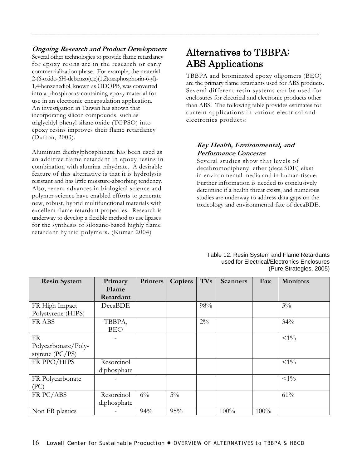#### **Ongoing Research and Product Development**

Several other technologies to provide flame retardancy for epoxy resins are in the research or early commercialization phase. For example, the material 2-(6-oxido-6H-debenzo(c,e)(1,2)oxaphosphorin-6-yl)- 1,4-benzenediol, known as ODOPB, was converted into a phosphorus-containing epoxy material for use in an electronic encapsulation application. An investigation in Taiwan has shown that incorporating silicon compounds, such as triglycidyl phenyl silane oxide (TGPSO) into epoxy resins improves their flame retardancy (Dufton, 2003).

Aluminum diethylphosphinate has been used as an additive flame retardant in epoxy resins in combination with alumina trihydrate. A desirable feature of this alternative is that it is hydrolysis resistant and has little moisture-absorbing tendency. Also, recent advances in biological science and polymer science have enabled efforts to generate new, robust, hybrid multifunctional materials with excellent flame retardant properties. Research is underway to develop a flexible method to use lipases for the synthesis of siloxane-based highly flame retardant hybrid polymers. (Kumar 2004)

### Alternatives to TBBPA: ABS Applications

TBBPA and brominated epoxy oligomers (BEO) are the primary flame retardants used for ABS products. Several different resin systems can be used for enclosures for electrical and electronic products other than ABS. The following table provides estimates for current applications in various electrical and electronics products:

#### **Key Health, Environmental, and Performance Concerns**

Several studies show that levels of decabromodiphenyl ether (decaBDE) eixst in environmental media and in human tissue. Further information is needed to conclusively determine if a health threat exists, and numerous studies are underway to address data gaps on the toxicology and environmental fate of decaBDE.

| <b>Resin System</b> | Primary     | <b>Printers</b> | Copiers | <b>TVs</b> | <b>Scanners</b> | Fax  | <b>Monitors</b> |
|---------------------|-------------|-----------------|---------|------------|-----------------|------|-----------------|
|                     | Flame       |                 |         |            |                 |      |                 |
|                     | Retardant   |                 |         |            |                 |      |                 |
| FR High Impact      | DecaBDE     |                 |         | 98%        |                 |      | $3\%$           |
| Polystyrene (HIPS)  |             |                 |         |            |                 |      |                 |
| FR ABS              | TBBPA,      |                 |         | $2\%$      |                 |      | 34%             |
|                     | <b>BEO</b>  |                 |         |            |                 |      |                 |
| FR                  |             |                 |         |            |                 |      | $<\!\!1\!\,$ %  |
| Polycarbonate/Poly- |             |                 |         |            |                 |      |                 |
| styrene (PC/PS)     |             |                 |         |            |                 |      |                 |
| FR PPO/HIPS         | Resorcinol  |                 |         |            |                 |      | $<\!\!1\%$      |
|                     | diphosphate |                 |         |            |                 |      |                 |
| FR Polycarbonate    |             |                 |         |            |                 |      | $<\!\!1\%$      |
| (PC)                |             |                 |         |            |                 |      |                 |
| FR PC/ABS           | Resorcinol  | $6\%$           | $5\%$   |            |                 |      | 61%             |
|                     | diphosphate |                 |         |            |                 |      |                 |
| Non FR plastics     |             | 94%             | 95%     |            | 100%            | 100% |                 |

<span id="page-21-0"></span> $\mathcal{L}_\mathcal{L} = \{ \mathcal{L}_\mathcal{L} = \{ \mathcal{L}_\mathcal{L} = \{ \mathcal{L}_\mathcal{L} = \{ \mathcal{L}_\mathcal{L} = \{ \mathcal{L}_\mathcal{L} = \{ \mathcal{L}_\mathcal{L} = \{ \mathcal{L}_\mathcal{L} = \{ \mathcal{L}_\mathcal{L} = \{ \mathcal{L}_\mathcal{L} = \{ \mathcal{L}_\mathcal{L} = \{ \mathcal{L}_\mathcal{L} = \{ \mathcal{L}_\mathcal{L} = \{ \mathcal{L}_\mathcal{L} = \{ \mathcal{L}_\mathcal{$ 

Table 12: Resin System and Flame Retardants used for Electrical/Electronics Enclosures (Pure Strategies, 2005)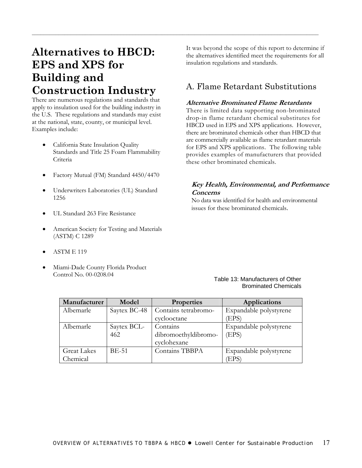### <span id="page-22-0"></span>**Alternatives to HBCD: EPS and XPS for Building and Construction Industry**

There are numerous regulations and standards that apply to insulation used for the building industry in the U.S. These regulations and standards may exist at the national, state, county, or municipal level. Examples include:

- California State Insulation Quality Standards and Title 25 Foam Flammability Criteria
- Factory Mutual (FM) Standard 4450/4470
- Underwriters Laboratories (UL) Standard 1256
- UL Standard 263 Fire Resistance
- American Society for Testing and Materials (ASTM) C 1289
- ASTM E 119
- Miami-Dade County Florida Product Control No. 00-0208.04

It was beyond the scope of this report to determine if the alternatives identified meet the requirements for all insulation regulations and standards.

#### A. Flame Retardant Substitutions

#### **Alternative Brominated Flame Retardants**

There is limited data supporting non-brominated drop-in flame retardant chemical substitutes for HBCD used in EPS and XPS applications. However, there are brominated chemicals other than HBCD that are commercially available as flame retardant materials for EPS and XPS applications. The following table provides examples of manufacturers that provided these other brominated chemicals.

#### **Key Health, Environmental, and Performance Concerns**

No data was identified for health and environmental issues for these brominated chemicals.

#### Table 13: Manufacturers of Other Brominated Chemicals

| Manufacturer       | Model        | <b>Properties</b>    | <b>Applications</b>    |
|--------------------|--------------|----------------------|------------------------|
| Albemarle          | Saytex BC-48 | Contains tetrabromo- | Expandable polystyrene |
|                    |              | cyclooctane          | (EPS)                  |
| Albemarle          | Saytex BCL-  | Contains             | Expandable polystyrene |
|                    | 462          | dibromoethyldibromo- | (EPS)                  |
|                    |              | cyclohexane          |                        |
| <b>Great Lakes</b> | <b>BE-51</b> | Contains TBBPA       | Expandable polystyrene |
| Chemical           |              |                      | (EPS)                  |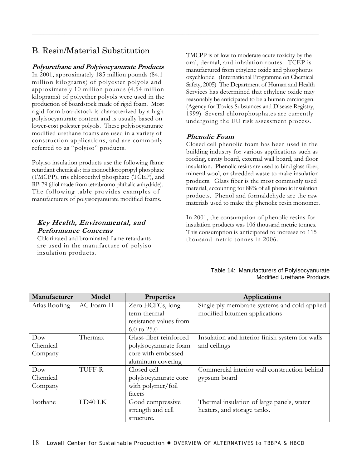### B. Resin/Material Substitution

#### **Polyurethane and Polyisocyanurate Products**

In 2001, approximately 185 million pounds (84.1 million kilograms) of polyester polyols and approximately 10 million pounds (4.54 million kilograms) of polyether polyols were used in the production of boardstock made of rigid foam. Most rigid foam boardstock is characterized by a high polyisocyanurate content and is usually based on lower-cost polester polyols. These polyisocyanurate modified urethane foams are used in a variety of construction applications, and are commonly referred to as "polyiso" products.

Polyiso insulation products use the following flame retardant chemicals: tris monochloropropyl phosphate (TMCPP), tris chloroethyl phosphate (TCEP), and RB-79 (diol made from tetrabromo phthalic anhydride). The following table provides examples of manufacturers of polyisocyanurate modified foams.

#### **Key Health, Environmental, and Performance Concerns**

Chlorinated and brominated flame retardants are used in the manufacture of polyiso insulation products.

TMCPP is of low to moderate acute toxicity by the oral, dermal, and inhalation routes. TCEP is manufactured from ethylene oxide and phosphorus oxychloride. (International Programme on Chemical Safety, 2005) The Department of Human and Health Services has determined that ethylene oxide may reasonably be anticipated to be a human carcinogen. (Agency for Toxics Substances and Disease Registry, 1999) Several chlorophosphates are currently undergoing the EU risk assessment process.

#### **Phenolic Foam**

 $\mathcal{L}_\mathcal{L} = \{ \mathcal{L}_\mathcal{L} = \{ \mathcal{L}_\mathcal{L} = \{ \mathcal{L}_\mathcal{L} = \{ \mathcal{L}_\mathcal{L} = \{ \mathcal{L}_\mathcal{L} = \{ \mathcal{L}_\mathcal{L} = \{ \mathcal{L}_\mathcal{L} = \{ \mathcal{L}_\mathcal{L} = \{ \mathcal{L}_\mathcal{L} = \{ \mathcal{L}_\mathcal{L} = \{ \mathcal{L}_\mathcal{L} = \{ \mathcal{L}_\mathcal{L} = \{ \mathcal{L}_\mathcal{L} = \{ \mathcal{L}_\mathcal{$ 

Closed cell phenolic foam has been used in the building industry for various applications such as roofing, cavity board, external wall board, and floor insulation. Phenolic resins are used to bind glass fiber, mineral wool, or shredded waste to make insulation products. Glass fiber is the most commonly used material, accounting for 88% of all phenolic insulation products. Phenol and formaldehyde are the raw materials used to make the phenolic resin monomer.

In 2001, the consumption of phenolic resins for insulation products was 106 thousand metric tonnes. This consumption is anticipated to increase to 115 thousand metric tonnes in 2006.

| Table 14: Manufacturers of Polyisocyanurate |
|---------------------------------------------|
| <b>Modified Urethane Products</b>           |

| Manufacturer  | Model         | <b>Properties</b>      | <b>Applications</b>                             |
|---------------|---------------|------------------------|-------------------------------------------------|
| Atlas Roofing | AC Foam-II    | Zero HCFCs, long       | Single ply membrane systems and cold-applied    |
|               |               | term thermal           | modified bitumen applications                   |
|               |               | resistance values from |                                                 |
|               |               | $6.0 \text{ to } 25.0$ |                                                 |
| Dow           | Thermax       | Glass-fiber reinforced | Insulation and interior finish system for walls |
| Chemical      |               | polyisocyanurate foam  | and ceilings                                    |
| Company       |               | core with embossed     |                                                 |
|               |               | aluminum covering      |                                                 |
| Dow           | <b>TUFF-R</b> | Closed cell            | Commercial interior wall construction behind    |
| Chemical      |               | polyisocyanurate core  | gypsum board                                    |
| Company       |               | with polymer/foil      |                                                 |
|               |               | facers                 |                                                 |
| Isothane      | $LD40$ $LK$   | Good compressive       | Thermal insulation of large panels, water       |
|               |               | strength and cell      | heaters, and storage tanks.                     |
|               |               | structure.             |                                                 |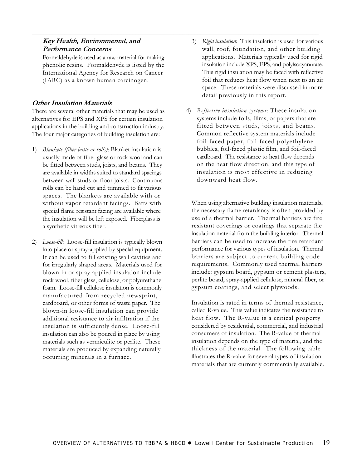#### **Key Health, Environmental, and Performance Concerns**

Formaldehyde is used as a raw material for making phenolic resins. Formaldehyde is listed by the International Agency for Research on Cancer (IARC) as a known human carcinogen.

 $\mathcal{L}_\mathcal{L} = \{ \mathcal{L}_\mathcal{L} = \{ \mathcal{L}_\mathcal{L} = \{ \mathcal{L}_\mathcal{L} = \{ \mathcal{L}_\mathcal{L} = \{ \mathcal{L}_\mathcal{L} = \{ \mathcal{L}_\mathcal{L} = \{ \mathcal{L}_\mathcal{L} = \{ \mathcal{L}_\mathcal{L} = \{ \mathcal{L}_\mathcal{L} = \{ \mathcal{L}_\mathcal{L} = \{ \mathcal{L}_\mathcal{L} = \{ \mathcal{L}_\mathcal{L} = \{ \mathcal{L}_\mathcal{L} = \{ \mathcal{L}_\mathcal{$ 

#### **Other Insulation Materials**

There are several other materials that may be used as alternatives for EPS and XPS for certain insulation applications in the building and construction industry. The four major categories of building insulation are:

- 1) *Blankets (fiber batts or rolls)*: Blanket insulation is usually made of fiber glass or rock wool and can be fitted between studs, joists, and beams. They are available in widths suited to standard spacings between wall studs or floor joists. Continuous rolls can be hand cut and trimmed to fit various spaces. The blankets are available with or without vapor retardant facings. Batts with special flame resistant facing are available where the insulation will be left exposed. Fiberglass is a synthetic vitreous fiber.
- 2) *Loose-fill*: Loose-fill insulation is typically blown into place or spray-applied by special equipment. It can be used to fill existing wall cavities and for irregularly shaped areas. Materials used for blown-in or spray-applied insulation include rock wool, fiber glass, cellulose, or polyurethane foam. Loose-fill cellulose insulation is commonly manufactured from recycled newsprint, cardboard, or other forms of waste paper. The blown-in loose-fill insulation can provide additional resistance to air infiltration if the insulation is sufficiently dense. Loose-fill insulation can also be poured in place by using materials such as vermiculite or perlite. These materials are produced by expanding naturally occurring minerals in a furnace.
- 3) *Rigid insulation*: This insulation is used for various wall, roof, foundation, and other building applications. Materials typically used for rigid insulation include XPS, EPS, and polyisocyanurate. This rigid insulation may be faced with reflective foil that reduces heat flow when next to an air space. These materials were discussed in more detail previously in this report.
- 4) *Reflective insulation systems*: These insulation systems include foils, films, or papers that are fitted between studs, joists, and beams. Common reflective system materials include foil-faced paper, foil-faced polyethylene bubbles, foil-faced plastic film, and foil-faced cardboard. The resistance to heat flow depends on the heat flow direction, and this type of insulation is most effective in reducing downward heat flow.

When using alternative building insulation materials, the necessary flame retardancy is often provided by use of a thermal barrier. Thermal barriers are fire resistant coverings or coatings that separate the insulation material from the building interior. Thermal barriers can be used to increase the fire retardant performance for various types of insulation. Thermal barriers are subject to current building code requirements. Commonly used thermal barriers include: gypsum board, gypsum or cement plasters, perlite board, spray-applied cellulose, mineral fiber, or gypsum coatings, and select plywoods.

Insulation is rated in terms of thermal resistance, called R-value. This value indicates the resistance to heat flow. The R-value is a critical property considered by residential, commercial, and industrial consumers of insulation. The R-value of thermal insulation depends on the type of material, and the thickness of the material. The following table illustrates the R-value for several types of insulation materials that are currently commercially available.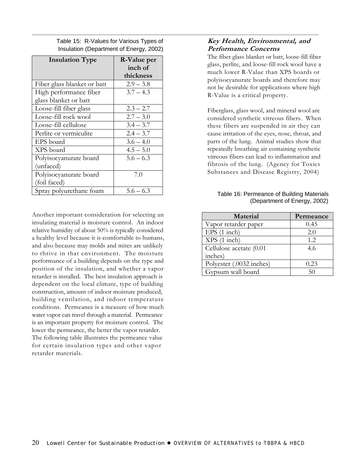Table 15: R-Values for Various Types of Insulation (Department of Energy, 2002)

 $\mathcal{L}_\mathcal{L} = \{ \mathcal{L}_\mathcal{L} = \{ \mathcal{L}_\mathcal{L} = \{ \mathcal{L}_\mathcal{L} = \{ \mathcal{L}_\mathcal{L} = \{ \mathcal{L}_\mathcal{L} = \{ \mathcal{L}_\mathcal{L} = \{ \mathcal{L}_\mathcal{L} = \{ \mathcal{L}_\mathcal{L} = \{ \mathcal{L}_\mathcal{L} = \{ \mathcal{L}_\mathcal{L} = \{ \mathcal{L}_\mathcal{L} = \{ \mathcal{L}_\mathcal{L} = \{ \mathcal{L}_\mathcal{L} = \{ \mathcal{L}_\mathcal{$ 

| <b>Insulation Type</b>      | R-Value per |
|-----------------------------|-------------|
|                             | inch of     |
|                             | thickness   |
| Fiber glass blanket or batt | $2.9 - 3.8$ |
| High performance fiber      | $3.7 - 4.3$ |
| glass blanket or batt       |             |
| Loose-fill fiber glass      | $2.3 - 2.7$ |
| Loose-fill rock wool        | $2.7 - 3.0$ |
| Loose-fill cellulose        | $3.4 - 3.7$ |
| Perlite or vermiculite      | $2.4 - 3.7$ |
| EPS board                   | $3.6 - 4.0$ |
| XPS board                   | $4.5 - 5.0$ |
| Polyisocyanurate board      | $5.6 - 6.3$ |
| (unfaced)                   |             |
| Polyisocyanurate board      | 7.0         |
| (foil faced)                |             |
| Spray polyurethane foam     | $5.6 - 6.3$ |

Another important consideration for selecting an insulating material is moisture control. An indoor relative humidity of about 50% is typically considered a healthy level because it is comfortable to humans, and also because may molds and mites are unlikely to thrive in that environment. The moisture performance of a building depends on the type and position of the insulation, and whether a vapor retarder is installed. The best insulation approach is dependent on the local climate, type of building construction, amount of indoor moisture produced, building ventilation, and indoor temperature conditions. Permeance is a measure of how much water vapor can travel through a material. Permeance is an important property for moisture control. The lower the permeance, the better the vapor retarder. The following table illustrates the permeance value for certain insulation types and other vapor retarder materials.

#### **Key Health, Environmental, and Performance Concerns**

The fiber glass blanket or batt, loose-fill fiber glass, perlite, and loose-fill rock wool have a much lower R-Value than XPS boards or polyisocyanurate boards and therefore may not be desirable for applications where high R-Value is a critical property.

Fiberglass, glass wool, and mineral wool are considered synthetic vitreous fibers. When these fibers are suspended in air they can cause irritation of the eyes, nose, throat, and parts of the lung. Animal studies show that repeatedly breathing air containing synthetic vitreous fibers can lead to inflammation and fibrosis of the lung. (Agency for Toxics Substances and Disease Registry, 2004)

#### Table 16: Permeance of Building Materials (Department of Energy, 2002)

| Material                 | Permeance |
|--------------------------|-----------|
| Vapor retarder paper     | 0.45      |
| $EPS(1$ inch)            | 2.0       |
| XPS (1 inch)             | 1.2       |
| Cellulose acetate (0.01  | 4.6       |
| inches)                  |           |
| Polyester (.0032 inches) | 0.23      |
| Gypsum wall board        | 50        |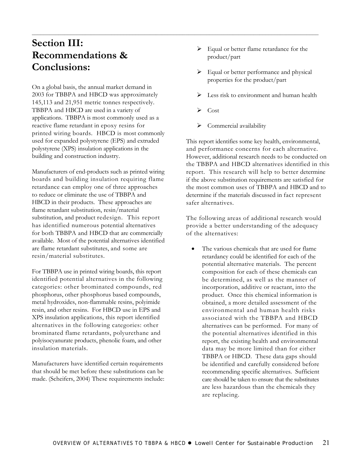### **Section III: Recommendations & Conclusions:**

On a global basis, the annual market demand in 2003 for TBBPA and HBCD was approximately 145,113 and 21,951 metric tonnes respectively. TBBPA and HBCD are used in a variety of applications. TBBPA is most commonly used as a reactive flame retardant in epoxy resins for printed wiring boards. HBCD is most commonly used for expanded polystyrene (EPS) and extruded polystyrene (XPS) insulation applications in the building and construction industry.

Manufacturers of end-products such as printed wiring boards and building insulation requiring flame retardance can employ one of three approaches to reduce or eliminate the use of TBBPA and HBCD in their products. These approaches are flame retardant substitution, resin/material substitution, and product redesign. This report has identified numerous potential alternatives for both TBBPA and HBCD that are commercially available. Most of the potential alternatives identified are flame retardant substitutes, and some are resin/material substitutes.

For TBBPA use in printed wiring boards, this report identified potential alternatives in the following categories: other brominated compounds, red phosphorus, other phosphorus based compounds, metal hydroxides, non-flammable resins, polyimide resin, and other resins. For HBCD use in EPS and XPS insulation applications, this report identified alternatives in the following categories: other brominated flame retardants, polyurethane and polyisocyanurate products, phenolic foam, and other insulation materials.

Manufacturers have identified certain requirements that should be met before these substitutions can be made. (Scheifers, 2004) These requirements include:

- $\triangleright$  Equal or better flame retardance for the product/part
- $\triangleright$  Equal or better performance and physical properties for the product/part
- Less risk to environment and human health
- ¾ Cost

<span id="page-26-0"></span> $\mathcal{L}_\mathcal{L} = \{ \mathcal{L}_\mathcal{L} = \{ \mathcal{L}_\mathcal{L} = \{ \mathcal{L}_\mathcal{L} = \{ \mathcal{L}_\mathcal{L} = \{ \mathcal{L}_\mathcal{L} = \{ \mathcal{L}_\mathcal{L} = \{ \mathcal{L}_\mathcal{L} = \{ \mathcal{L}_\mathcal{L} = \{ \mathcal{L}_\mathcal{L} = \{ \mathcal{L}_\mathcal{L} = \{ \mathcal{L}_\mathcal{L} = \{ \mathcal{L}_\mathcal{L} = \{ \mathcal{L}_\mathcal{L} = \{ \mathcal{L}_\mathcal{$ 

 $\triangleright$  Commercial availability

This report identifies some key health, environmental, and performance concerns for each alternative. However, additional research needs to be conducted on the TBBPA and HBCD alternatives identified in this report. This research will help to better determine if the above substitution requirements are satisfied for the most common uses of TBBPA and HBCD and to determine if the materials discussed in fact represent safer alternatives.

The following areas of additional research would provide a better understanding of the adequacy of the alternatives:

The various chemicals that are used for flame retardancy could be identified for each of the potential alternative materials. The percent composition for each of these chemicals can be determined, as well as the manner of incorporation, additive or reactant, into the product. Once this chemical information is obtained, a more detailed assessment of the environmental and human health risks associated with the TBBPA and HBCD alternatives can be performed. For many of the potential alternatives identified in this report, the existing health and environmental data may be more limited than for either TBBPA or HBCD. These data gaps should be identified and carefully considered before recommending specific alternatives. Sufficient care should be taken to ensure that the substitutes are less hazardous than the chemicals they are replacing.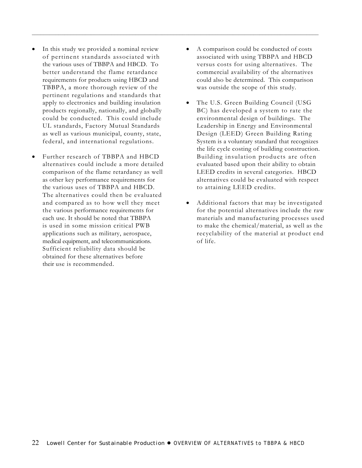- In this study we provided a nominal review of pertinent standards associated with the various uses of TBBPA and HBCD. To better understand the flame retardance requirements for products using HBCD and TBBPA, a more thorough review of the pertinent regulations and standards that apply to electronics and building insulation products regionally, nationally, and globally could be conducted. This could include UL standards, Factory Mutual Standards as well as various municipal, county, state, federal, and international regulations.
- Further research of TBBPA and HBCD alternatives could include a more detailed comparison of the flame retardancy as well as other key performance requirements for the various uses of TBBPA and HBCD. The alternatives could then be evaluated and compared as to how well they meet the various performance requirements for each use. It should be noted that TBBPA is used in some mission critical PWB applications such as military, aerospace, medical equipment, and telecommunications. Sufficient reliability data should be obtained for these alternatives before their use is recommended.

• A comparison could be conducted of costs associated with using TBBPA and HBCD versus costs for using alternatives. The commercial availability of the alternatives could also be determined. This comparison was outside the scope of this study.

- The U.S. Green Building Council (USG BC) has developed a system to rate the environmental design of buildings. The Leadership in Energy and Environmental Design (LEED) Green Building Rating System is a voluntary standard that recognizes the life cycle costing of building construction. Building insulation products are often evaluated based upon their ability to obtain LEED credits in several categories. HBCD alternatives could be evaluated with respect to attaining LEED credits.
- Additional factors that may be investigated for the potential alternatives include the raw materials and manufacturing processes used to make the chemical/material, as well as the recyclability of the material at product end of life.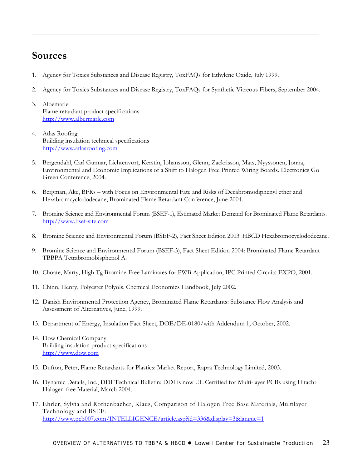### <span id="page-28-0"></span>**Sources**

- 1. Agency for Toxics Substances and Disease Registry, ToxFAQs for Ethylene Oxide, July 1999.
- 2. Agency for Toxics Substances and Disease Registry, ToxFAQs for Synthetic Vitreous Fibers, September 2004.

- 3. Albemarle Flame retardant product specifications [http://www.albermarle.com](http://www.albermarle.com/)
- 4. Atlas Roofing Building insulation technical specifications [http://www.atlasroofing.com](http://www.atlasroofing.com/)
- 5. Bergendahl, Carl Gunnar, Lichtenvort, Kerstin, Johansson, Glenn, Zackrisson, Mats, Nyyssonen, Jonna, Environmental and Economic Implications of a Shift to Halogen Free Printed Wiring Boards. Electronics Go Green Conference, 2004.
- 6. Bergman, Ake, BFRs with Focus on Environmental Fate and Risks of Decabromodiphenyl ether and Hexabromcyclododecane, Brominated Flame Retardant Conference, June 2004.
- 7. Bromine Science and Environmental Forum (BSEF-1), Estimated Market Demand for Brominated Flame Retardants. [http://www.bsef-site.com](http://www.bsef-site.com/)
- 8. Bromine Science and Environmental Forum (BSEF-2), Fact Sheet Edition 2003: HBCD Hexabromocyclododecane.
- 9. Bromine Science and Environmental Forum (BSEF-3), Fact Sheet Edition 2004: Brominated Flame Retardant TBBPA Tetrabromobisphenol A.
- 10. Choate, Marty, High Tg Bromine-Free Laminates for PWB Application, IPC Printed Circuits EXPO, 2001.
- 11. Chinn, Henry, Polyester Polyols, Chemical Economics Handbook, July 2002.
- 12. Danish Environmental Protection Agency, Brominated Flame Retardants: Substance Flow Analysis and Assessment of Alternatives, June, 1999.
- 13. Department of Energy, Insulation Fact Sheet, DOE/DE-0180/with Addendum 1, October, 2002.
- 14. Dow Chemical Company Building insulation product specifications [http://www.dow.com](http://www.dow.com/)
- 15. Dufton, Peter, Flame Retardants for Plastics: Market Report, Rapra Technology Limited, 2003.
- 16. Dynamic Details, Inc., DDI Technical Bulletin: DDI is now UL Certified for Multi-layer PCBs using Hitachi Halogen-free Material, March 2004.
- 17. Ehrler, Sylvia and Rothenbacher, Klaus, Comparison of Halogen Free Base Materials, Multilayer Technology and BSEF: <http://www.pcb007.com/INTELLIGENCE/article.asp?id=336&display=3&langue=1>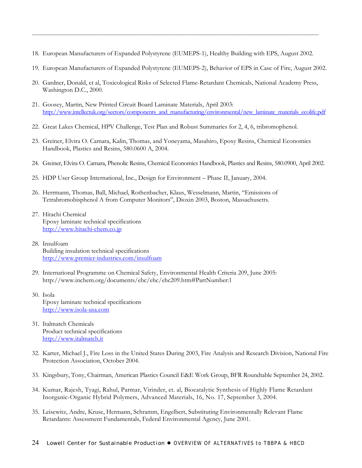18. European Manufacturers of Expanded Polystyrene (EUMEPS-1), Healthy Building with EPS, August 2002.

- 19. European Manufacturers of Expanded Polystyrene (EUMEPS-2), Behavior of EPS in Case of Fire, August 2002.
- 20. Gardner, Donald, et al, Toxicological Risks of Selected Flame-Retardant Chemicals, National Academy Press, Washington D.C., 2000.
- 21. Goosey, Martin, New Printed Circuit Board Laminate Materials, April 2003: [http://www.intellectuk.org/sectors/components\\_and\\_manufacturing/environmental/new\\_laminate\\_materials\\_ecolife.pdf](http://www.intellectuk.org/sectors/components_and_manufacturing/environmental/new_laminate_materials_ecolife.pdf)
- 22. Great Lakes Chemical, HPV Challenge, Test Plan and Robust Summaries for 2, 4, 6, tribromophenol.
- 23. Greiner, Elvira O. Camara, Kalin, Thomas, and Yoneyama, Masahiro, Epoxy Resins, Chemical Economics Handbook, Plastics and Resins, 580.0600 A, 2004.
- 24. Greiner, Elvira O. Camara, Phenolic Resins, Chemical Economics Handbook, Plastics and Resins, 580.0900, April 2002.
- 25. HDP User Group International, Inc., Design for Environment Phase II, January, 2004.
- 26. Herrmann, Thomas, Ball, Michael, Rothenbacher, Klaus, Wesselmann, Martin, "Emissions of Tetrabromobisphenol A from Computer Monitors", Dioxin 2003, Boston, Massachusetts.
- 27. Hitachi Chemical Epoxy laminate technical specifications [http://www.hitachi-chem.co.jp](http://www.hitachi-chem.co.jp/)
- 28. Insulfoam Building insulation technical specifications <http://www.premier-industries.com/insulfoam>
- 29. International Programme on Chemical Safety, Environmental Health Criteria 209, June 2005: http://www.inchem.org/documents/ehc/ehc/ehc209.htm#PartNumber:1
- 30. Isola Epoxy laminate technical specifications [http://www.isola-usa.com](http://www.isola-usa.com/)
- 31. Italmatch Chemicals Product technical specifications [http://www.italmatch.it](http://www.italmatch.it/)
- 32. Karter, Michael J., Fire Loss in the United States During 2003, Fire Analysis and Research Division, National Fire Protection Association, October 2004.
- 33. Kingsbury, Tony, Chairman, American Plastics Council E&E Work Group, BFR Roundtable September 24, 2002.
- 34. Kumar, Rajesh, Tyagi, Rahul, Parmar, Virinder, et. al, Biocatalytic Synthesis of Highly Flame Retardant Inorganic-Organic Hybrid Polymers, Advanced Materials, 16, No. 17, September 3, 2004.
- 35. Leisewitz, Andre, Kruse, Hermann, Schramm, Engelbert, Substituting Environmentally Relevant Flame Retardants: Assessment Fundamentals, Federal Environmental Agency, June 2001.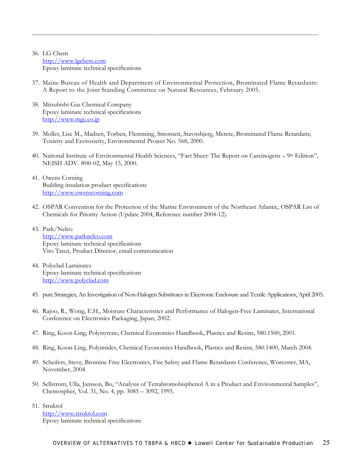#### 36. LG Chem [http://www.lgchem.com](http://www.lgchem.com/) Epoxy laminate technical specifications

37. Maine Bureau of Health and Department of Environmental Protection, Brominated Flame Retardants: A Report to the Joint Standing Committee on Natural Resources, February 2005.

- 38. Mitsubishi Gas Chemical Company Epoxy laminate technical specifications [http://www.mgc.co.jp](http://www.mgc.co.jp/)
- 39. Moller, Lise M., Madsen, Torben, Flemming, Smonsen, Stavnsbjerg, Merete, Brominated Flame Retardans; Toxicity and Ecotoxicity, Environmental Project No. 568, 2000.
- 40. National Institute of Environmental Health Sciences, "Fact Sheet: The Report on Carcinogens 9th Edition", NEISH ADV. #00-02, May 15, 2000.
- 41. Owens Corning Building insulation product specifications [http://www.owenscorning.com](http://www.owenscorning.com/)
- 42. OSPAR Convention for the Protection of the Marine Environment of the Northeast Atlantic, OSPAR List of Chemicals for Priority Action (Update 2004, Reference number 2004-12).
- 43. Park/Nelco [http://www.parknelco.com](http://www.parknelco.com/) Epoxy laminate technical specifications Vito Tanzi, Product Director, email communication
- 44. Polyclad Laminates Epoxy laminate technical specifications [http://www.polyclad.com](http://www.polyclad.com/)
- 45. pure Strategies, An Investigation of Non-Halogen Substitutes in Electronic Enclosure and Textile Applications, April 2005.
- 46. Rajoo, R., Wong, E.H., Moisture Characteristics and Performance of Halogen-Free Laminates, International Conference on Electronics Packaging, Japan, 2002.
- 47. Ring, Koon-Ling, Polystyrene, Chemical Economics Handbook, Plastics and Resins, 580.1500, 2001.
- 48. Ring, Koon-Ling, Polyimides, Chemical Economics Handbook, Plastics and Resins, 580.1400, March 2004.
- 49. Scheifers, Steve, Bromine Free Electronics, Fire Safety and Flame Retardants Conference, Worcester, MA, November, 2004.
- 50. Sellstrom, Ulla, Jansson, Bo, "Analysis of Tetrabromobisphenol A in a Product and Environmental Samples", Chemospher, Vol. 31, No. 4, pp. 3085 – 3092, 1995.
- 51. Struktol [http://www.struktol.com](http://www.struktol.com/) Epoxy laminate technical specifications